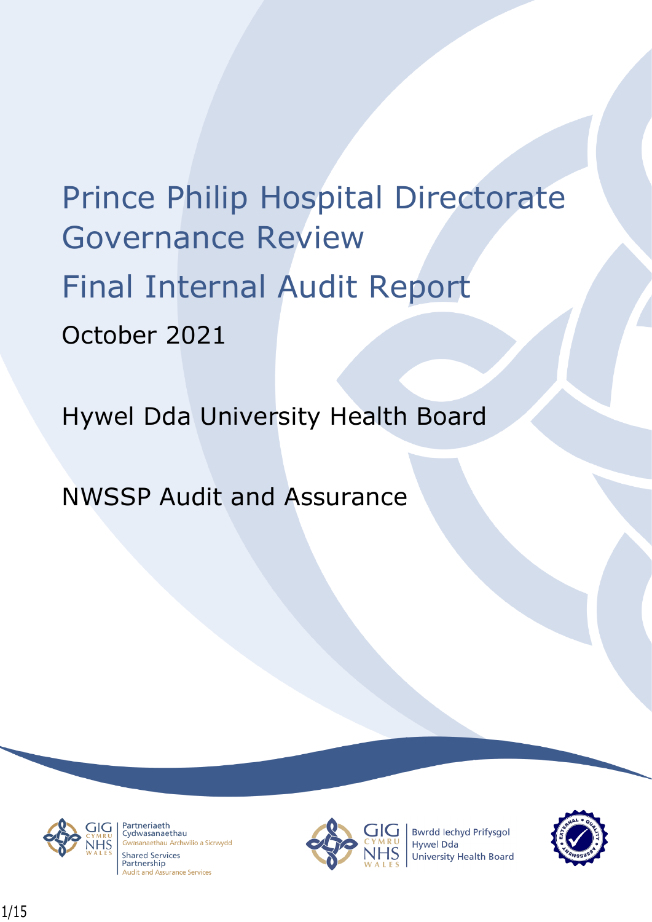# Prince Philip Hospital Directorate Governance Review Final Internal Audit Report October 2021

# Hywel Dda University Health Board

NWSSP Audit and Assurance



Partneriaeth rartheriaeth<br>Cydwasanaethau sanaethau Archwilio a Sicrwydd **Shared Services** Partnership **Audit and Assurance Services** 



**Bwrdd lechyd Prifysgol Hywel Dda** University Health Board

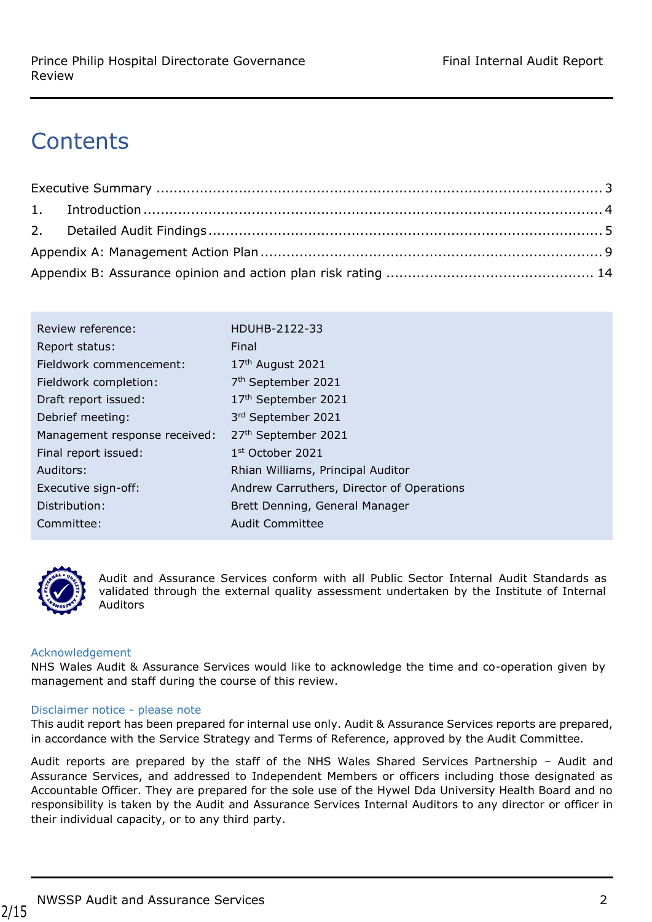# **Contents**

| HDUHB-2122-33                             |
|-------------------------------------------|
| Final                                     |
| 17th August 2021                          |
| 7 <sup>th</sup> September 2021            |
| 17th September 2021                       |
| 3rd September 2021                        |
| 27 <sup>th</sup> September 2021           |
| $1st$ October 2021                        |
| Rhian Williams, Principal Auditor         |
| Andrew Carruthers, Director of Operations |
| Brett Denning, General Manager            |
| <b>Audit Committee</b>                    |
|                                           |



Audit and Assurance Services conform with all Public Sector Internal Audit Standards as validated through the external quality assessment undertaken by the Institute of Internal Auditors

#### Acknowledgement

NHS Wales Audit & Assurance Services would like to acknowledge the time and co-operation given by management and staff during the course of this review.

#### Disclaimer notice - please note

This audit report has been prepared for internal use only. Audit & Assurance Services reports are prepared, in accordance with the Service Strategy and Terms of Reference, approved by the Audit Committee.

Audit reports are prepared by the staff of the NHS Wales Shared Services Partnership – Audit and Assurance Services, and addressed to Independent Members or officers including those designated as Accountable Officer. They are prepared for the sole use of the Hywel Dda University Health Board and no responsibility is taken by the Audit and Assurance Services Internal Auditors to any director or officer in their individual capacity, or to any third party.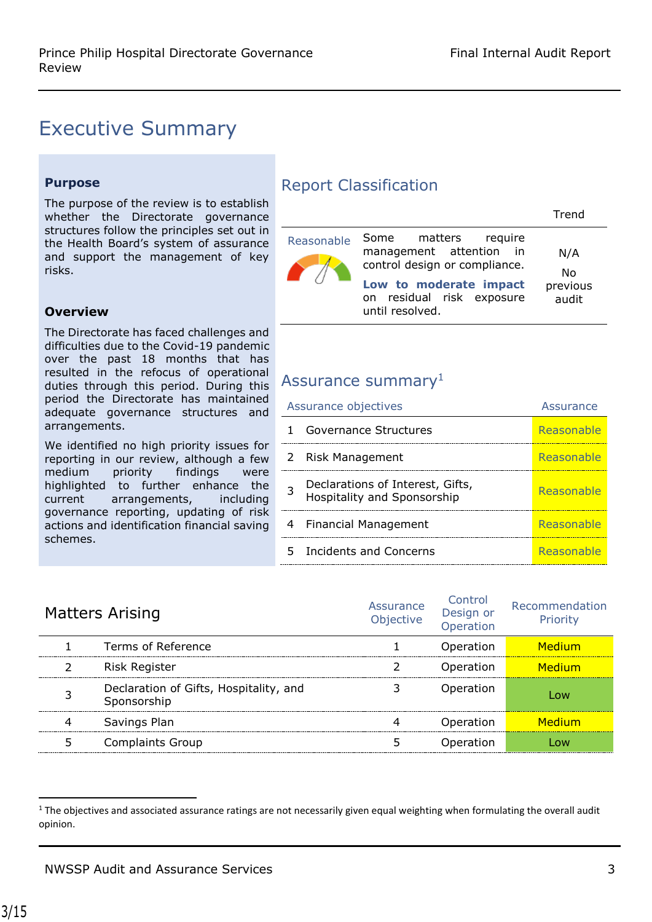### <span id="page-2-0"></span>Executive Summary

#### **Purpose**

The purpose of the review is to establish whether the Directorate governance structures follow the principles set out in the Health Board's system of assurance and support the management of key risks.

#### **Overview**

The Directorate has faced challenges and difficulties due to the Covid-19 pandemic over the past 18 months that has resulted in the refocus of operational duties through this period. During this period the Directorate has maintained adequate governance structures and arrangements.

We identified no high priority issues for reporting in our review, although a few medium priority findings were highlighted to further enhance the current arrangements, including governance reporting, updating of risk actions and identification financial saving schemes.

#### Report Classification

|            |                                                                                                                                                            | Trend                          |
|------------|------------------------------------------------------------------------------------------------------------------------------------------------------------|--------------------------------|
| Reasonable | Some matters require<br>management attention in<br>control design or compliance.<br>Low to moderate impact<br>on residual risk exposure<br>until resolved. | N/A<br>No<br>previous<br>audit |

#### Assurance summary<sup>1</sup>

| Assurance objectives |                                                                        | Assurance  |
|----------------------|------------------------------------------------------------------------|------------|
|                      | Governance Structures                                                  | Reasonable |
|                      | 2 Risk Management                                                      | Reasonable |
| 3                    | Declarations of Interest, Gifts,<br><b>Hospitality and Sponsorship</b> | Reasonable |
| 4                    | Financial Management                                                   | Reasonable |
| 5.                   | Incidents and Concerns                                                 | Reasonable |

| <b>Matters Arising</b>                                | Assurance<br>Objective | Control<br>Design or<br>Operation | Recommendation<br>Priority |
|-------------------------------------------------------|------------------------|-----------------------------------|----------------------------|
| Terms of Reference                                    |                        | Operation                         | Medium                     |
| <b>Risk Register</b>                                  |                        | Operation                         | Medium                     |
| Declaration of Gifts, Hospitality, and<br>Sponsorship |                        | Operation                         | 0 <sub>W</sub>             |
| Savings Plan                                          |                        | Operation                         | Medium                     |
| <b>Complaints Group</b>                               |                        | Operation                         |                            |

 $\overline{\phantom{a}}$ 

 $1$  The objectives and associated assurance ratings are not necessarily given equal weighting when formulating the overall audit opinion.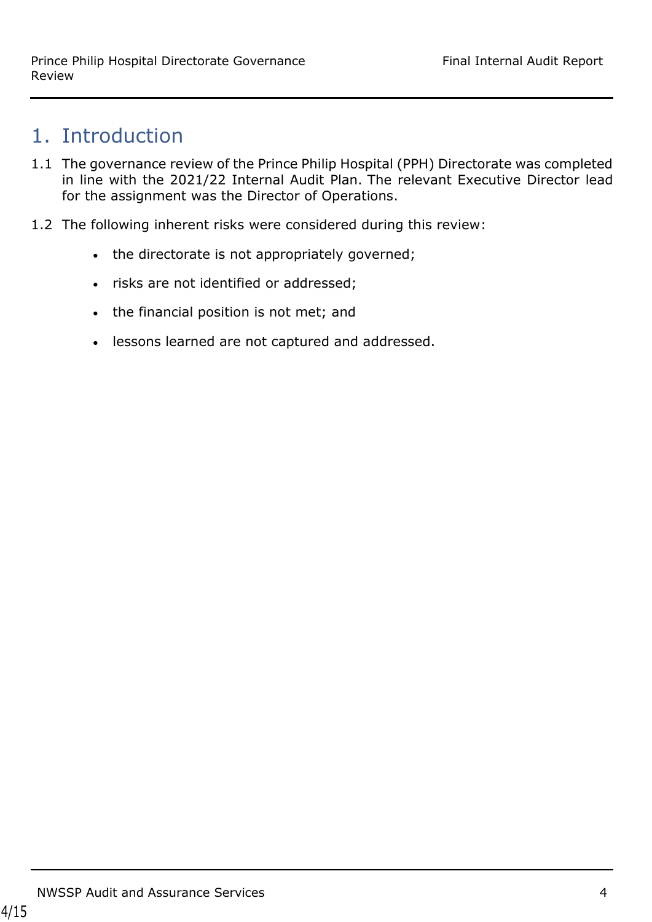### <span id="page-3-0"></span>1. Introduction

- 1.1 The governance review of the Prince Philip Hospital (PPH) Directorate was completed in line with the 2021/22 Internal Audit Plan. The relevant Executive Director lead for the assignment was the Director of Operations.
- 1.2 The following inherent risks were considered during this review:
	- the directorate is not appropriately governed;
	- risks are not identified or addressed;
	- the financial position is not met; and
	- lessons learned are not captured and addressed.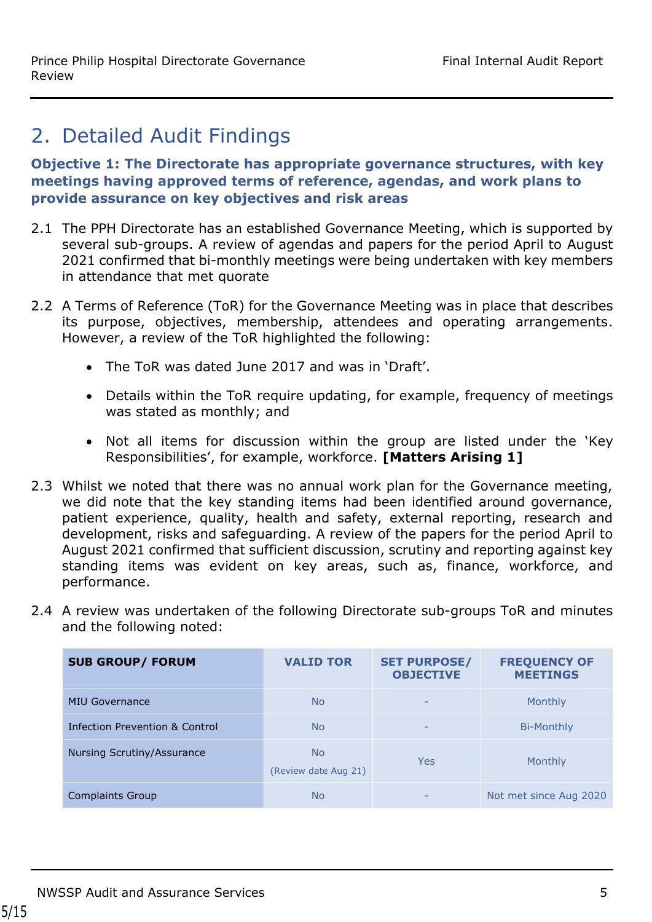### <span id="page-4-0"></span>2. Detailed Audit Findings

**Objective 1: The Directorate has appropriate governance structures, with key meetings having approved terms of reference, agendas, and work plans to provide assurance on key objectives and risk areas**

- 2.1 The PPH Directorate has an established Governance Meeting, which is supported by several sub-groups. A review of agendas and papers for the period April to August 2021 confirmed that bi-monthly meetings were being undertaken with key members in attendance that met quorate
- 2.2 A Terms of Reference (ToR) for the Governance Meeting was in place that describes its purpose, objectives, membership, attendees and operating arrangements. However, a review of the ToR highlighted the following:
	- The ToR was dated June 2017 and was in 'Draft'.
	- Details within the ToR require updating, for example, frequency of meetings was stated as monthly; and
	- Not all items for discussion within the group are listed under the 'Key Responsibilities', for example, workforce. **[Matters Arising 1]**
- 2.3 Whilst we noted that there was no annual work plan for the Governance meeting, we did note that the key standing items had been identified around governance, patient experience, quality, health and safety, external reporting, research and development, risks and safeguarding. A review of the papers for the period April to August 2021 confirmed that sufficient discussion, scrutiny and reporting against key standing items was evident on key areas, such as, finance, workforce, and performance.
- 2.4 A review was undertaken of the following Directorate sub-groups ToR and minutes and the following noted:

| <b>SUB GROUP/ FORUM</b>        | <b>VALID TOR</b>                  | <b>SET PURPOSE/</b><br><b>OBJECTIVE</b> | <b>FREQUENCY OF</b><br><b>MEETINGS</b> |
|--------------------------------|-----------------------------------|-----------------------------------------|----------------------------------------|
| <b>MIU Governance</b>          | <b>No</b>                         | $\overline{\phantom{0}}$                | Monthly                                |
| Infection Prevention & Control | <b>No</b>                         | -                                       | <b>Bi-Monthly</b>                      |
| Nursing Scrutiny/Assurance     | <b>No</b><br>(Review date Aug 21) | <b>Yes</b>                              | Monthly                                |
| <b>Complaints Group</b>        | <b>No</b>                         | $\overline{\phantom{0}}$                | Not met since Aug 2020                 |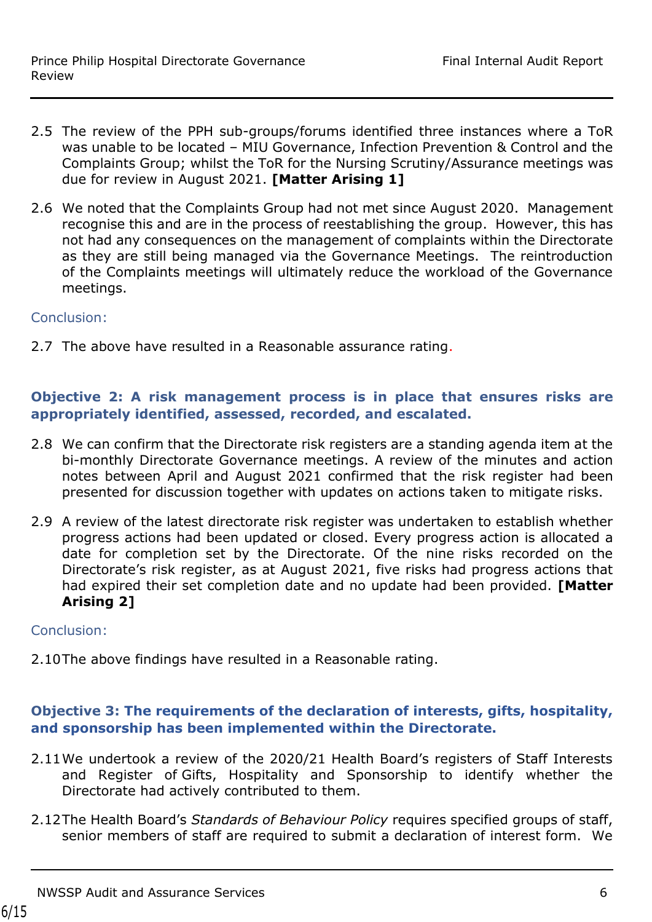- 2.5 The review of the PPH sub-groups/forums identified three instances where a ToR was unable to be located – MIU Governance, Infection Prevention & Control and the Complaints Group; whilst the ToR for the Nursing Scrutiny/Assurance meetings was due for review in August 2021. **[Matter Arising 1]**
- 2.6 We noted that the Complaints Group had not met since August 2020. Management recognise this and are in the process of reestablishing the group. However, this has not had any consequences on the management of complaints within the Directorate as they are still being managed via the Governance Meetings. The reintroduction of the Complaints meetings will ultimately reduce the workload of the Governance meetings.

#### Conclusion:

2.7 The above have resulted in a Reasonable assurance rating.

#### **Objective 2: A risk management process is in place that ensures risks are appropriately identified, assessed, recorded, and escalated.**

- 2.8 We can confirm that the Directorate risk registers are a standing agenda item at the bi-monthly Directorate Governance meetings. A review of the minutes and action notes between April and August 2021 confirmed that the risk register had been presented for discussion together with updates on actions taken to mitigate risks.
- 2.9 A review of the latest directorate risk register was undertaken to establish whether progress actions had been updated or closed. Every progress action is allocated a date for completion set by the Directorate. Of the nine risks recorded on the Directorate's risk register, as at August 2021, five risks had progress actions that had expired their set completion date and no update had been provided. **[Matter Arising 2]**

#### Conclusion:

2.10The above findings have resulted in a Reasonable rating.

#### **Objective 3: The requirements of the declaration of interests, gifts, hospitality, and sponsorship has been implemented within the Directorate.**

- 2.11We undertook a review of the 2020/21 Health Board's registers of Staff Interests and Register of Gifts, Hospitality and Sponsorship to identify whether the Directorate had actively contributed to them.
- 2.12The Health Board's *Standards of Behaviour Policy* requires specified groups of staff, senior members of staff are required to submit a declaration of interest form. We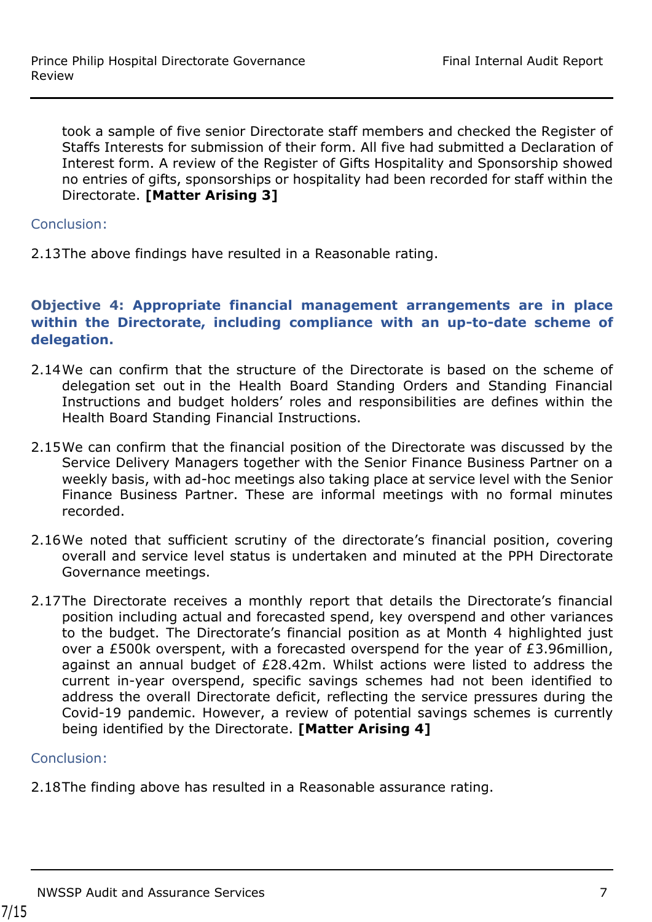took a sample of five senior Directorate staff members and checked the Register of Staffs Interests for submission of their form. All five had submitted a Declaration of Interest form. A review of the Register of Gifts Hospitality and Sponsorship showed no entries of gifts, sponsorships or hospitality had been recorded for staff within the Directorate. **[Matter Arising 3]**

Conclusion:

2.13The above findings have resulted in a Reasonable rating.

#### **Objective 4: Appropriate financial management arrangements are in place within the Directorate, including compliance with an up-to-date scheme of delegation.**

- 2.14We can confirm that the structure of the Directorate is based on the scheme of delegation set out in the Health Board Standing Orders and Standing Financial Instructions and budget holders' roles and responsibilities are defines within the Health Board Standing Financial Instructions.
- 2.15We can confirm that the financial position of the Directorate was discussed by the Service Delivery Managers together with the Senior Finance Business Partner on a weekly basis, with ad-hoc meetings also taking place at service level with the Senior Finance Business Partner. These are informal meetings with no formal minutes recorded.
- 2.16We noted that sufficient scrutiny of the directorate's financial position, covering overall and service level status is undertaken and minuted at the PPH Directorate Governance meetings.
- 2.17The Directorate receives a monthly report that details the Directorate's financial position including actual and forecasted spend, key overspend and other variances to the budget. The Directorate's financial position as at Month 4 highlighted just over a £500k overspent, with a forecasted overspend for the year of £3.96million, against an annual budget of £28.42m. Whilst actions were listed to address the current in-year overspend, specific savings schemes had not been identified to address the overall Directorate deficit, reflecting the service pressures during the Covid-19 pandemic. However, a review of potential savings schemes is currently being identified by the Directorate. **[Matter Arising 4]**

#### Conclusion:

2.18The finding above has resulted in a Reasonable assurance rating.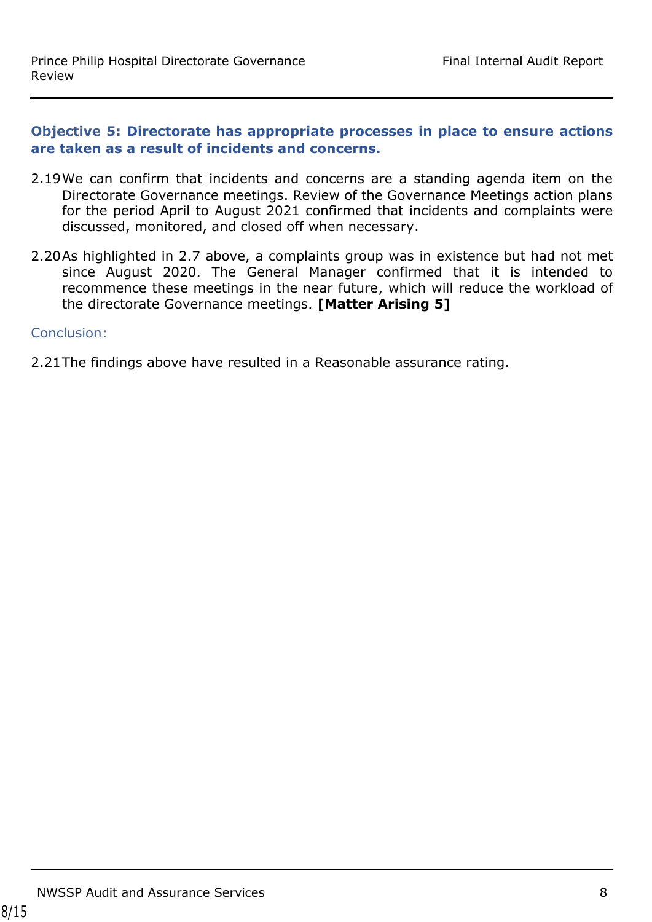#### **Objective 5: Directorate has appropriate processes in place to ensure actions are taken as a result of incidents and concerns.**

- 2.19We can confirm that incidents and concerns are a standing agenda item on the Directorate Governance meetings. Review of the Governance Meetings action plans for the period April to August 2021 confirmed that incidents and complaints were discussed, monitored, and closed off when necessary.
- 2.20As highlighted in 2.7 above, a complaints group was in existence but had not met since August 2020. The General Manager confirmed that it is intended to recommence these meetings in the near future, which will reduce the workload of the directorate Governance meetings. **[Matter Arising 5]**

#### Conclusion:

2.21The findings above have resulted in a Reasonable assurance rating.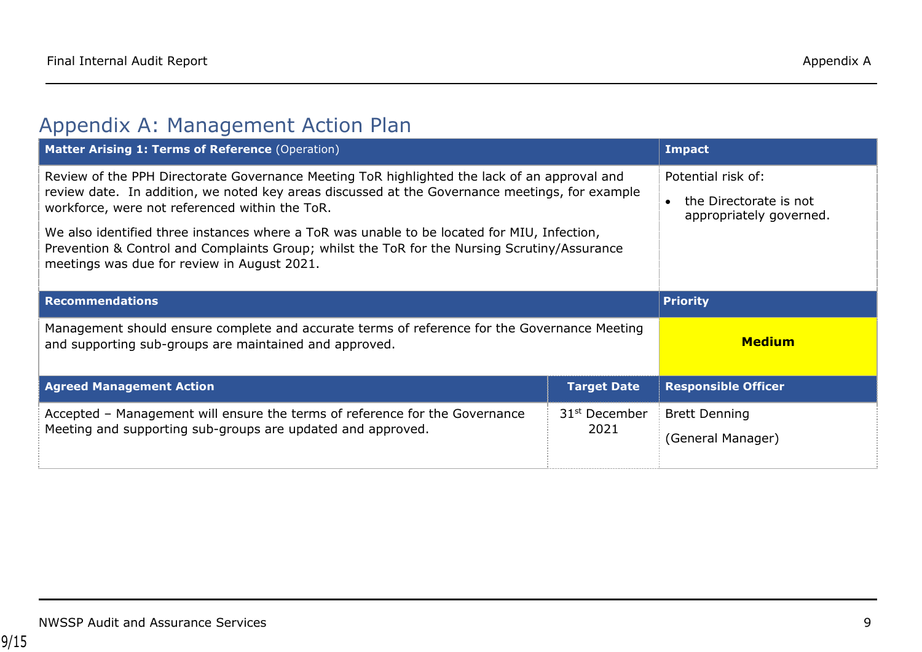### Appendix A: Management Action Plan

<span id="page-8-0"></span>

| Matter Arising 1: Terms of Reference (Operation)                                                                                                                                                                                                                                                                                                                                                                                                                                               | <b>Impact</b>                                                           |                                           |
|------------------------------------------------------------------------------------------------------------------------------------------------------------------------------------------------------------------------------------------------------------------------------------------------------------------------------------------------------------------------------------------------------------------------------------------------------------------------------------------------|-------------------------------------------------------------------------|-------------------------------------------|
| Review of the PPH Directorate Governance Meeting ToR highlighted the lack of an approval and<br>review date. In addition, we noted key areas discussed at the Governance meetings, for example<br>workforce, were not referenced within the ToR.<br>We also identified three instances where a ToR was unable to be located for MIU, Infection,<br>Prevention & Control and Complaints Group; whilst the ToR for the Nursing Scrutiny/Assurance<br>meetings was due for review in August 2021. | Potential risk of:<br>the Directorate is not<br>appropriately governed. |                                           |
| <b>Recommendations</b>                                                                                                                                                                                                                                                                                                                                                                                                                                                                         |                                                                         | <b>Priority</b>                           |
| Management should ensure complete and accurate terms of reference for the Governance Meeting<br>and supporting sub-groups are maintained and approved.                                                                                                                                                                                                                                                                                                                                         | <b>Medium</b>                                                           |                                           |
| <b>Agreed Management Action</b>                                                                                                                                                                                                                                                                                                                                                                                                                                                                | <b>Target Date</b>                                                      | <b>Responsible Officer</b>                |
| Accepted - Management will ensure the terms of reference for the Governance<br>Meeting and supporting sub-groups are updated and approved.                                                                                                                                                                                                                                                                                                                                                     | 31 <sup>st</sup> December<br>2021                                       | <b>Brett Denning</b><br>(General Manager) |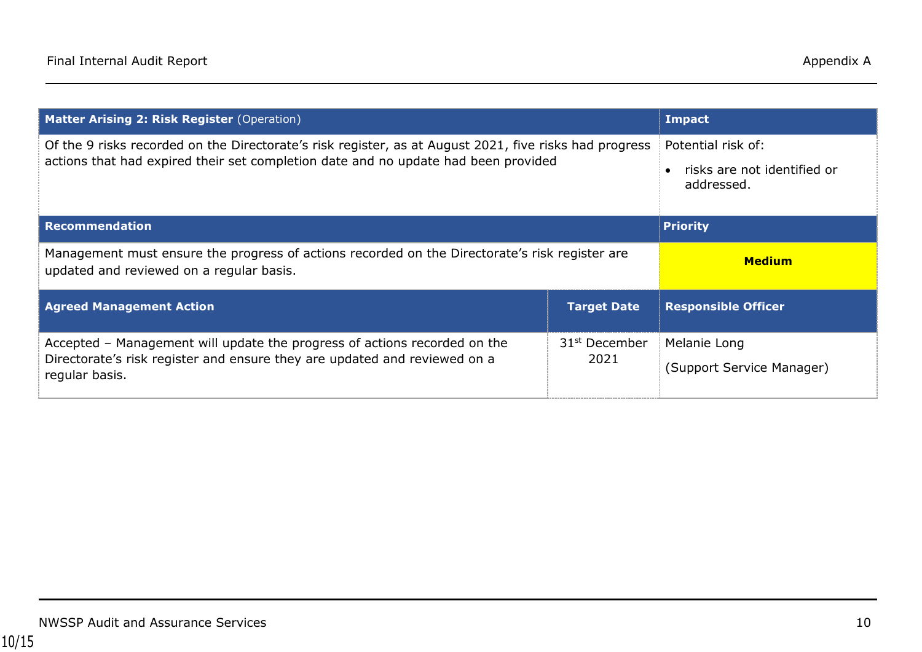| Matter Arising 2: Risk Register (Operation)                                                                                                                                                  | Impact                            |                                                                 |
|----------------------------------------------------------------------------------------------------------------------------------------------------------------------------------------------|-----------------------------------|-----------------------------------------------------------------|
| Of the 9 risks recorded on the Directorate's risk register, as at August 2021, five risks had progress<br>actions that had expired their set completion date and no update had been provided |                                   | Potential risk of:<br>risks are not identified or<br>addressed. |
| <b>Recommendation</b>                                                                                                                                                                        | <b>Priority</b>                   |                                                                 |
| Management must ensure the progress of actions recorded on the Directorate's risk register are<br>updated and reviewed on a regular basis.                                                   |                                   | <b>Medium</b>                                                   |
| <b>Agreed Management Action</b>                                                                                                                                                              | <b>Target Date</b>                | <b>Responsible Officer</b>                                      |
| Accepted - Management will update the progress of actions recorded on the<br>Directorate's risk register and ensure they are updated and reviewed on a<br>regular basis.                     | 31 <sup>st</sup> December<br>2021 | Melanie Long<br>(Support Service Manager)                       |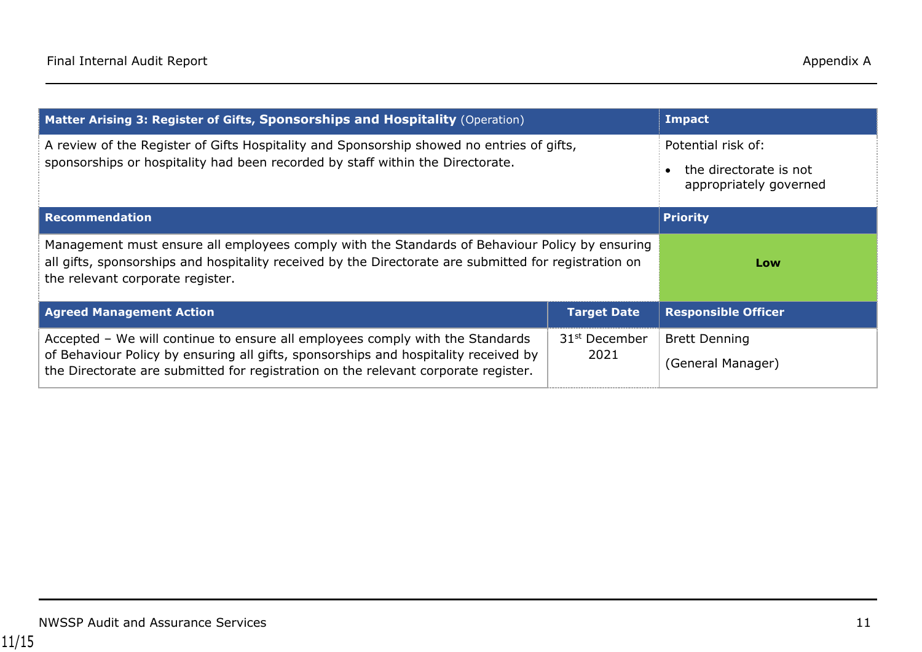| Matter Arising 3: Register of Gifts, Sponsorships and Hospitality (Operation)                                                                                                                                                                              | <b>Impact</b>                     |                                                                        |
|------------------------------------------------------------------------------------------------------------------------------------------------------------------------------------------------------------------------------------------------------------|-----------------------------------|------------------------------------------------------------------------|
| A review of the Register of Gifts Hospitality and Sponsorship showed no entries of gifts,<br>sponsorships or hospitality had been recorded by staff within the Directorate.                                                                                |                                   | Potential risk of:<br>the directorate is not<br>appropriately governed |
| <b>Recommendation</b>                                                                                                                                                                                                                                      |                                   | <b>Priority</b>                                                        |
| Management must ensure all employees comply with the Standards of Behaviour Policy by ensuring<br>all gifts, sponsorships and hospitality received by the Directorate are submitted for registration on<br>the relevant corporate register.                |                                   | Low                                                                    |
| <b>Agreed Management Action</b>                                                                                                                                                                                                                            | <b>Target Date</b>                | <b>Responsible Officer</b>                                             |
| Accepted - We will continue to ensure all employees comply with the Standards<br>of Behaviour Policy by ensuring all gifts, sponsorships and hospitality received by<br>the Directorate are submitted for registration on the relevant corporate register. | 31 <sup>st</sup> December<br>2021 | <b>Brett Denning</b><br>(General Manager)                              |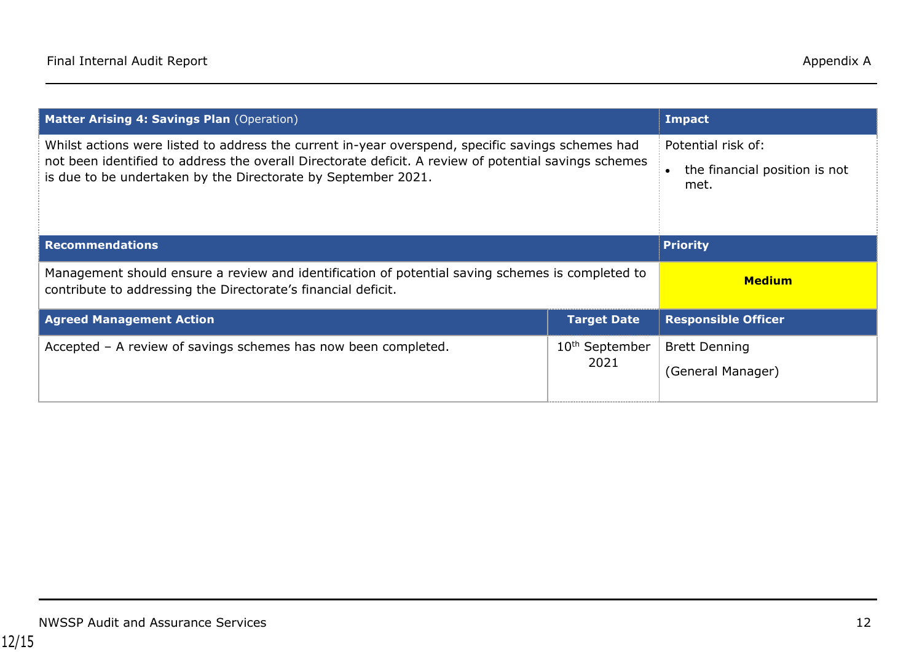| <b>Matter Arising 4: Savings Plan (Operation)</b>                                                                                                                                                                                                                           | <b>Impact</b>                      |                                                             |
|-----------------------------------------------------------------------------------------------------------------------------------------------------------------------------------------------------------------------------------------------------------------------------|------------------------------------|-------------------------------------------------------------|
| Whilst actions were listed to address the current in-year overspend, specific savings schemes had<br>not been identified to address the overall Directorate deficit. A review of potential savings schemes<br>is due to be undertaken by the Directorate by September 2021. |                                    | Potential risk of:<br>the financial position is not<br>met. |
| <b>Recommendations</b>                                                                                                                                                                                                                                                      |                                    | <b>Priority</b>                                             |
| Management should ensure a review and identification of potential saving schemes is completed to<br>contribute to addressing the Directorate's financial deficit.                                                                                                           |                                    | <b>Medium</b>                                               |
| <b>Agreed Management Action</b>                                                                                                                                                                                                                                             | <b>Target Date</b>                 | <b>Responsible Officer</b>                                  |
| Accepted - A review of savings schemes has now been completed.                                                                                                                                                                                                              | 10 <sup>th</sup> September<br>2021 | <b>Brett Denning</b><br>(General Manager)                   |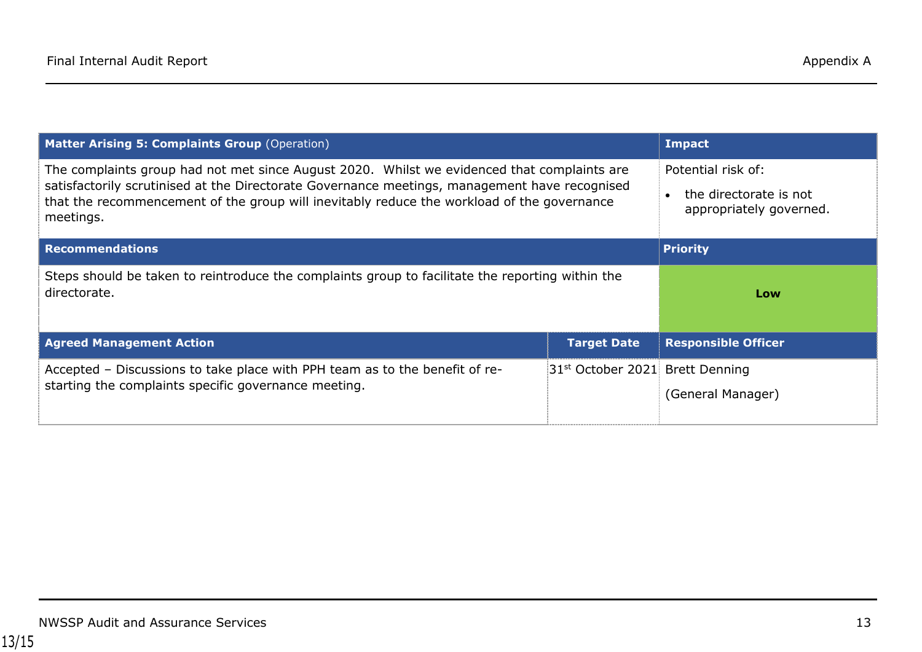| <b>Matter Arising 5: Complaints Group (Operation)</b>                                                                                                                                                                                                                                                   | <b>Impact</b>                               |                                                                         |
|---------------------------------------------------------------------------------------------------------------------------------------------------------------------------------------------------------------------------------------------------------------------------------------------------------|---------------------------------------------|-------------------------------------------------------------------------|
| The complaints group had not met since August 2020. Whilst we evidenced that complaints are<br>satisfactorily scrutinised at the Directorate Governance meetings, management have recognised<br>that the recommencement of the group will inevitably reduce the workload of the governance<br>meetings. |                                             | Potential risk of:<br>the directorate is not<br>appropriately governed. |
| <b>Recommendations</b>                                                                                                                                                                                                                                                                                  |                                             | <b>Priority</b>                                                         |
| Steps should be taken to reintroduce the complaints group to facilitate the reporting within the<br>directorate.                                                                                                                                                                                        |                                             | Low                                                                     |
| <b>Agreed Management Action</b>                                                                                                                                                                                                                                                                         | Target Date                                 | <b>Responsible Officer</b>                                              |
| Accepted - Discussions to take place with PPH team as to the benefit of re-<br>starting the complaints specific governance meeting.                                                                                                                                                                     | 31 <sup>st</sup> October 2021 Brett Denning |                                                                         |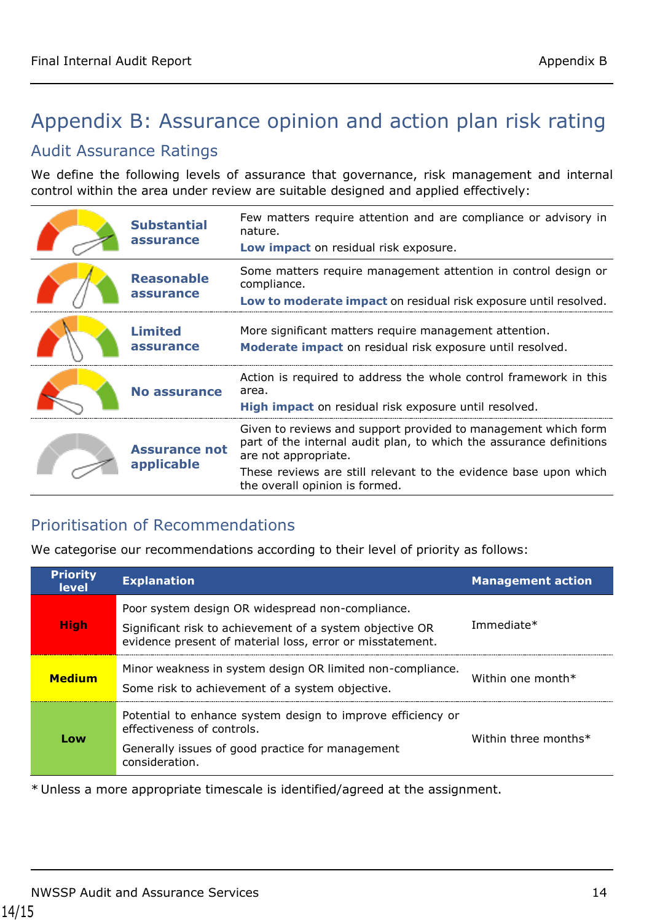## <span id="page-13-0"></span>Appendix B: Assurance opinion and action plan risk rating

#### Audit Assurance Ratings

We define the following levels of assurance that governance, risk management and internal control within the area under review are suitable designed and applied effectively:

| <b>Substantial</b><br>assurance    | Few matters require attention and are compliance or advisory in<br>nature.<br>Low impact on residual risk exposure.                                                                                                                                                 |
|------------------------------------|---------------------------------------------------------------------------------------------------------------------------------------------------------------------------------------------------------------------------------------------------------------------|
| <b>Reasonable</b><br>assurance     | Some matters require management attention in control design or<br>compliance.<br>Low to moderate impact on residual risk exposure until resolved.                                                                                                                   |
| <b>Limited</b><br>assurance        | More significant matters require management attention.<br>Moderate impact on residual risk exposure until resolved.                                                                                                                                                 |
| <b>No assurance</b>                | Action is required to address the whole control framework in this<br>area.<br>High impact on residual risk exposure until resolved.                                                                                                                                 |
| <b>Assurance not</b><br>applicable | Given to reviews and support provided to management which form<br>part of the internal audit plan, to which the assurance definitions<br>are not appropriate.<br>These reviews are still relevant to the evidence base upon which<br>the overall opinion is formed. |
|                                    |                                                                                                                                                                                                                                                                     |

#### Prioritisation of Recommendations

We categorise our recommendations according to their level of priority as follows:

| <b>Priority</b><br><b>level</b> | <b>Explanation</b>                                                                                                                                                        | <b>Management action</b> |
|---------------------------------|---------------------------------------------------------------------------------------------------------------------------------------------------------------------------|--------------------------|
| <b>High</b>                     | Poor system design OR widespread non-compliance.<br>Significant risk to achievement of a system objective OR<br>evidence present of material loss, error or misstatement. | Immediate*               |
| <b>Medium</b>                   | Minor weakness in system design OR limited non-compliance.<br>Some risk to achievement of a system objective.                                                             | Within one month $*$     |
| Low                             | Potential to enhance system design to improve efficiency or<br>effectiveness of controls.<br>Generally issues of good practice for management<br>consideration.           | Within three months*     |

\* Unless a more appropriate timescale is identified/agreed at the assignment.